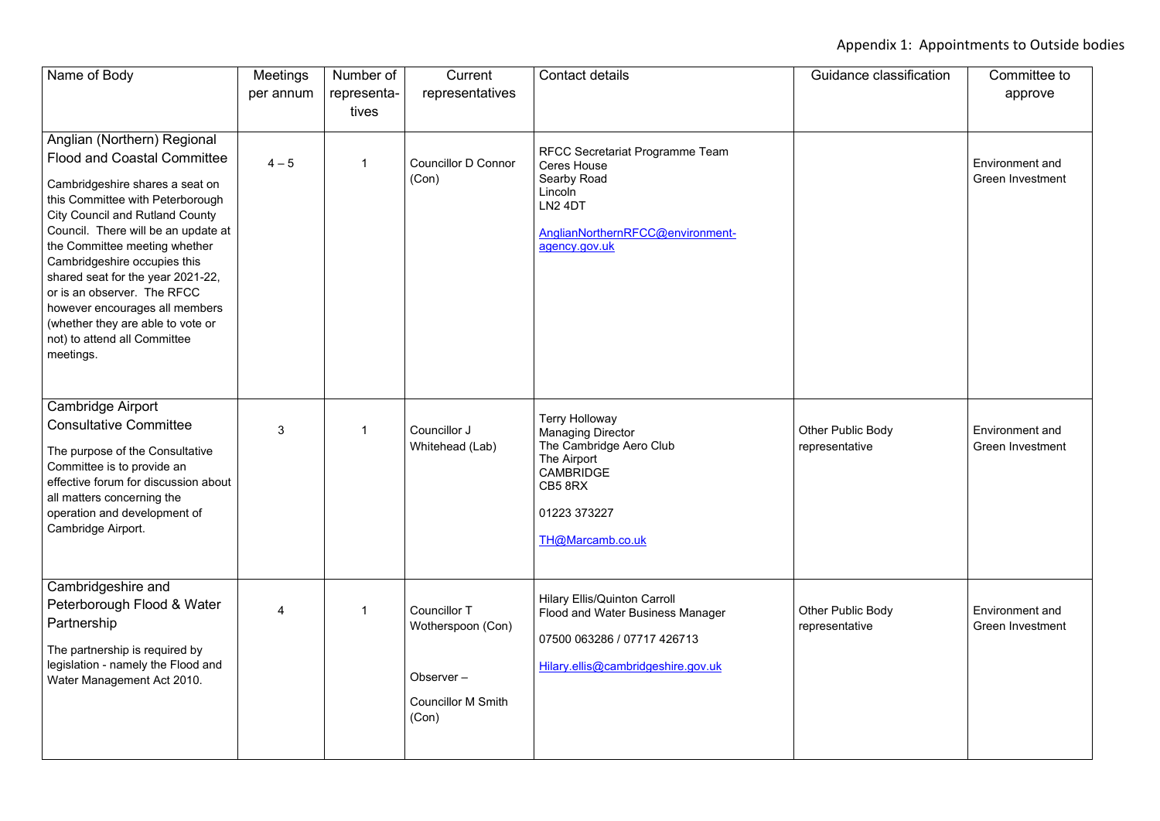## Appendix 1: Appointments to Outside bodies

| Name of Body                                                                                                                                                                                                                                                                                                                                                                                                                                                                       | <b>Meetings</b><br>per annum | Number of<br>representa-<br>tives | Current<br>representatives                                                                  | <b>Contact details</b>                                                                                                                                                    | Guidance classification             | Committee to<br>approve                           |
|------------------------------------------------------------------------------------------------------------------------------------------------------------------------------------------------------------------------------------------------------------------------------------------------------------------------------------------------------------------------------------------------------------------------------------------------------------------------------------|------------------------------|-----------------------------------|---------------------------------------------------------------------------------------------|---------------------------------------------------------------------------------------------------------------------------------------------------------------------------|-------------------------------------|---------------------------------------------------|
| Anglian (Northern) Regional<br><b>Flood and Coastal Committee</b><br>Cambridgeshire shares a seat on<br>this Committee with Peterborough<br><b>City Council and Rutland County</b><br>Council. There will be an update at<br>the Committee meeting whether<br>Cambridgeshire occupies this<br>shared seat for the year 2021-22,<br>or is an observer. The RFCC<br>however encourages all members<br>(whether they are able to vote or<br>not) to attend all Committee<br>meetings. | $4 - 5$                      |                                   | <b>Councillor D Connor</b><br>(Con)                                                         | <b>RFCC Secretariat Programme Team</b><br><b>Ceres House</b><br><b>Searby Road</b><br>Lincoln<br>LN <sub>2</sub> 4DT<br>AnglianNorthernRFCC@environment-<br>agency.gov.uk |                                     | <b>Environment and</b><br>Green Investment        |
| <b>Cambridge Airport</b><br><b>Consultative Committee</b><br>The purpose of the Consultative<br>Committee is to provide an<br>effective forum for discussion about<br>all matters concerning the<br>operation and development of<br>Cambridge Airport.                                                                                                                                                                                                                             | 3                            |                                   | Councillor J<br>Whitehead (Lab)                                                             | <b>Terry Holloway</b><br><b>Managing Director</b><br>The Cambridge Aero Club<br>The Airport<br><b>CAMBRIDGE</b><br>CB5 8RX<br>01223 373227<br>TH@Marcamb.co.uk            | Other Public Body<br>representative | <b>Environment and</b><br><b>Green Investment</b> |
| Cambridgeshire and<br>Peterborough Flood & Water<br>Partnership<br>The partnership is required by<br>legislation - namely the Flood and<br>Water Management Act 2010.                                                                                                                                                                                                                                                                                                              | 4                            |                                   | <b>Councillor T</b><br>Wotherspoon (Con)<br>Observer-<br><b>Councillor M Smith</b><br>(Con) | <b>Hilary Ellis/Quinton Carroll</b><br><b>Flood and Water Business Manager</b><br>07500 063286 / 07717 426713<br>Hilary.ellis@cambridgeshire.gov.uk                       | Other Public Body<br>representative | <b>Environment and</b><br><b>Green Investment</b> |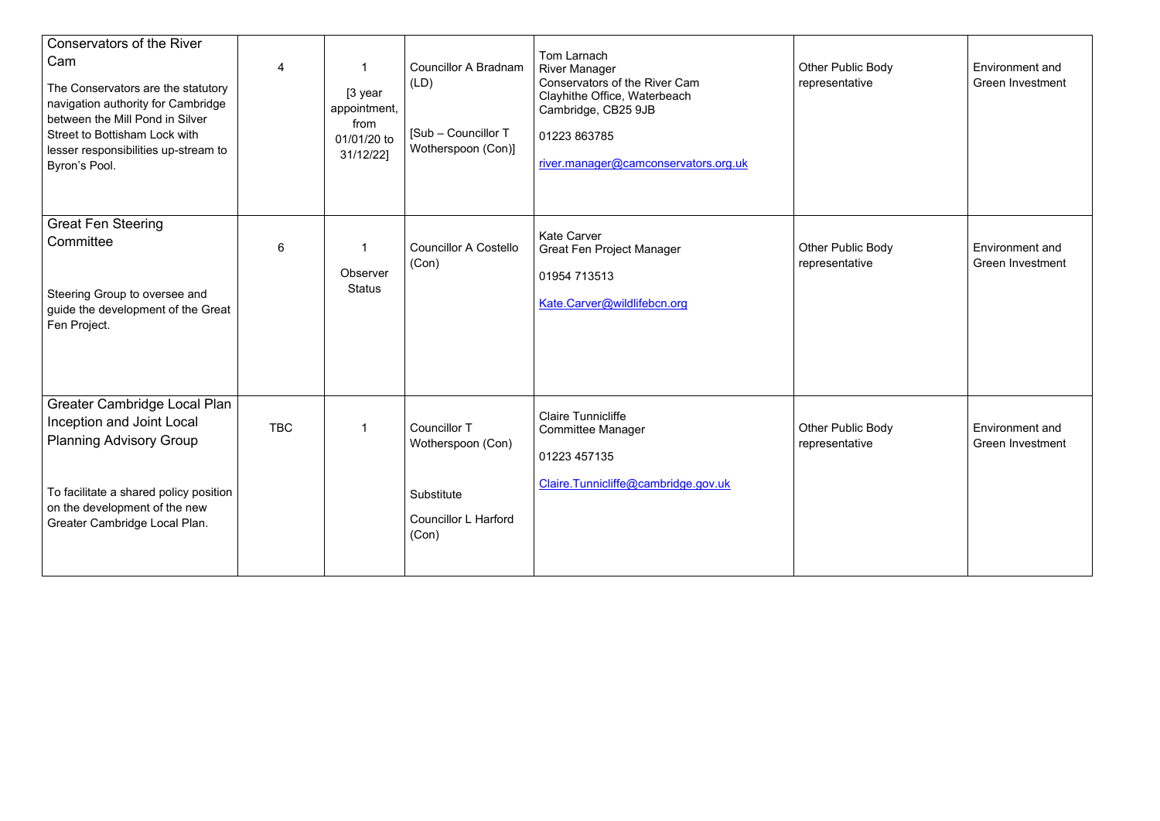| <b>Conservators of the River</b><br>Cam<br>The Conservators are the statutory<br>navigation authority for Cambridge<br>between the Mill Pond in Silver<br><b>Street to Bottisham Lock with</b><br>lesser responsibilities up-stream to<br>Byron's Pool. | 4          | [3 year<br>appointment,<br>from<br>01/01/20 to<br>31/12/22] | <b>Councillor A Bradnam</b><br>(LD)<br>[Sub - Councillor T<br>Wotherspoon (Con)]               | Tom Larnach<br><b>River Manager</b><br><b>Conservators of the River Cam</b><br>Clayhithe Office, Waterbeach<br>Cambridge, CB25 9JB<br>01223 863785<br>river.manager@camconservators.org.uk | <b>Other Public Body</b><br>representative | <b>Environment</b> and<br><b>Green Investment</b> |
|---------------------------------------------------------------------------------------------------------------------------------------------------------------------------------------------------------------------------------------------------------|------------|-------------------------------------------------------------|------------------------------------------------------------------------------------------------|--------------------------------------------------------------------------------------------------------------------------------------------------------------------------------------------|--------------------------------------------|---------------------------------------------------|
| <b>Great Fen Steering</b><br>Committee<br>Steering Group to oversee and<br>guide the development of the Great<br>Fen Project.                                                                                                                           | 6          | Observer<br><b>Status</b>                                   | <b>Councillor A Costello</b><br>(Con)                                                          | <b>Kate Carver</b><br><b>Great Fen Project Manager</b><br>01954 713513<br>Kate.Carver@wildlifebcn.org                                                                                      | Other Public Body<br>representative        | <b>Environment and</b><br><b>Green Investment</b> |
| <b>Greater Cambridge Local Plan</b><br>Inception and Joint Local<br><b>Planning Advisory Group</b><br>To facilitate a shared policy position<br>on the development of the new<br>Greater Cambridge Local Plan.                                          | <b>TBC</b> |                                                             | <b>Councillor T</b><br>Wotherspoon (Con)<br>Substitute<br><b>Councillor L Harford</b><br>(Con) | <b>Claire Tunnicliffe</b><br><b>Committee Manager</b><br>01223 457135<br>Claire.Tunnicliffe@cambridge.gov.uk                                                                               | <b>Other Public Body</b><br>representative | Environment and<br>Green Investment               |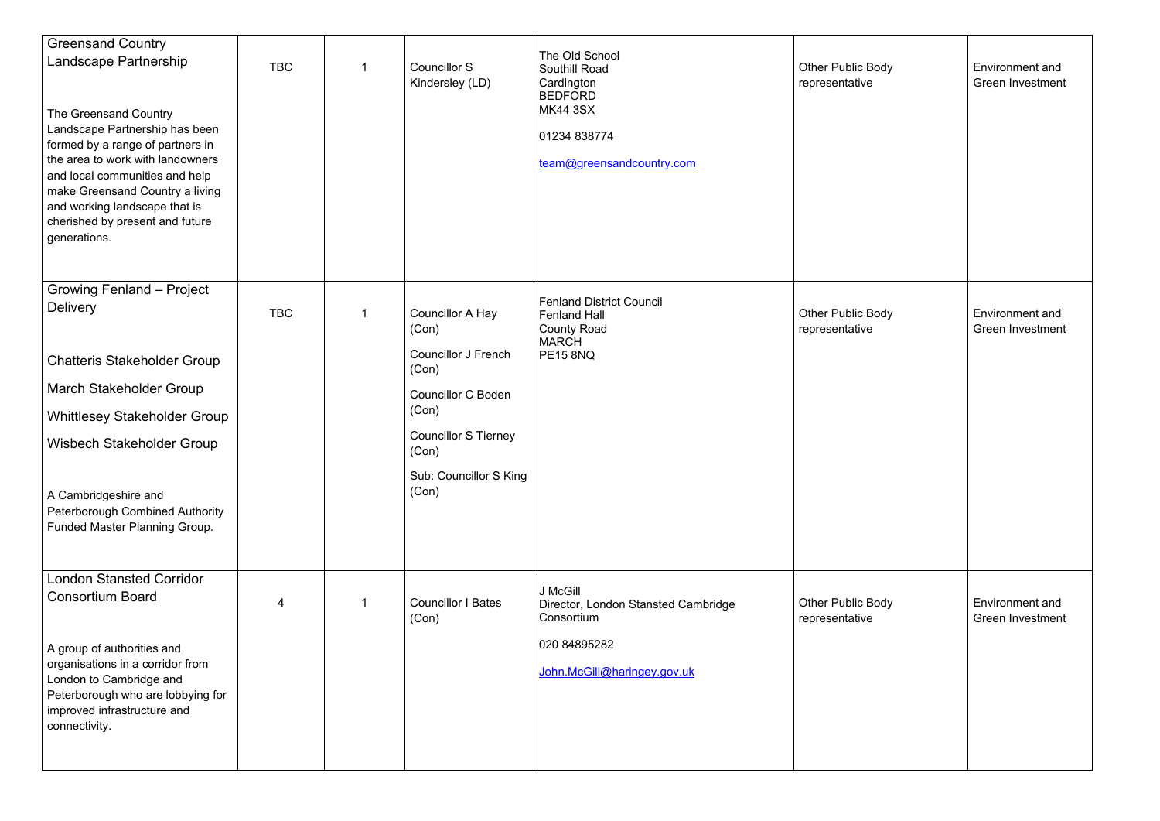| <b>Greensand Country</b><br>Landscape Partnership<br>The Greensand Country<br>Landscape Partnership has been<br>formed by a range of partners in<br>the area to work with landowners<br>and local communities and help<br>make Greensand Country a living<br>and working landscape that is<br>cherished by present and future<br>generations. | <b>TBC</b> | 1 | <b>Councillor S</b><br>Kindersley (LD) | The Old School<br><b>Southill Road</b><br>Cardington<br><b>BEDFORD</b><br><b>MK44 3SX</b><br>01234 838774<br>team@greensandcountry.com | Other Public Body<br>representative | <b>Environment</b> and<br><b>Green Investment</b> |
|-----------------------------------------------------------------------------------------------------------------------------------------------------------------------------------------------------------------------------------------------------------------------------------------------------------------------------------------------|------------|---|----------------------------------------|----------------------------------------------------------------------------------------------------------------------------------------|-------------------------------------|---------------------------------------------------|
| <b>Growing Fenland - Project</b><br><b>Delivery</b>                                                                                                                                                                                                                                                                                           | <b>TBC</b> |   | Councillor A Hay<br>(Con)              | <b>Fenland District Council</b><br><b>Fenland Hall</b><br><b>County Road</b><br><b>MARCH</b>                                           | Other Public Body<br>representative | <b>Environment</b> and<br>Green Investment        |
| <b>Chatteris Stakeholder Group</b>                                                                                                                                                                                                                                                                                                            |            |   | <b>Councillor J French</b><br>(Con)    | <b>PE15 8NQ</b>                                                                                                                        |                                     |                                                   |
| <b>March Stakeholder Group</b>                                                                                                                                                                                                                                                                                                                |            |   | <b>Councillor C Boden</b>              |                                                                                                                                        |                                     |                                                   |
| <b>Whittlesey Stakeholder Group</b>                                                                                                                                                                                                                                                                                                           |            |   | (Con)                                  |                                                                                                                                        |                                     |                                                   |
| Wisbech Stakeholder Group                                                                                                                                                                                                                                                                                                                     |            |   | <b>Councillor S Tierney</b><br>(Con)   |                                                                                                                                        |                                     |                                                   |
| A Cambridgeshire and<br>Peterborough Combined Authority<br>Funded Master Planning Group.                                                                                                                                                                                                                                                      |            |   | Sub: Councillor S King<br>(Con)        |                                                                                                                                        |                                     |                                                   |
| <b>London Stansted Corridor</b><br><b>Consortium Board</b>                                                                                                                                                                                                                                                                                    |            |   |                                        | J McGill                                                                                                                               |                                     |                                                   |
|                                                                                                                                                                                                                                                                                                                                               |            |   | <b>Councillor I Bates</b><br>(Con)     | Director, London Stansted Cambridge<br>Consortium                                                                                      | Other Public Body<br>representative | <b>Environment</b> and<br><b>Green Investment</b> |
| A group of authorities and<br>organisations in a corridor from<br>London to Cambridge and<br>Peterborough who are lobbying for<br>improved infrastructure and<br>connectivity.                                                                                                                                                                |            |   |                                        | 020 84895282<br>John.McGill@haringey.gov.uk                                                                                            |                                     |                                                   |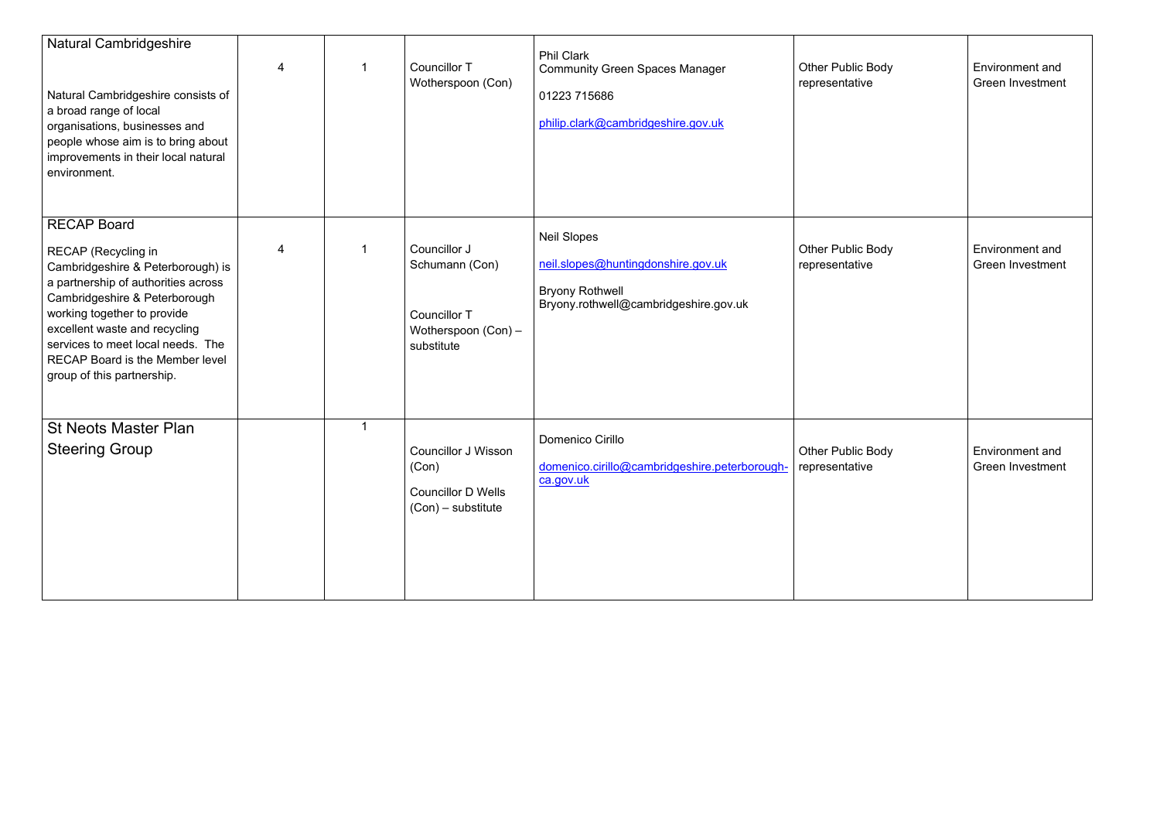| <b>Natural Cambridgeshire</b><br>Natural Cambridgeshire consists of<br>a broad range of local<br>organisations, businesses and<br>people whose aim is to bring about<br>improvements in their local natural<br>environment.                                                                                                                | 4 | <b>Councillor T</b><br>Wotherspoon (Con)                                                 | <b>Phil Clark</b><br><b>Community Green Spaces Manager</b><br>01223 715686<br>philip.clark@cambridgeshire.gov.uk            | <b>Other Public Body</b><br>representative | <b>Environment</b> and<br><b>Green Investment</b> |
|--------------------------------------------------------------------------------------------------------------------------------------------------------------------------------------------------------------------------------------------------------------------------------------------------------------------------------------------|---|------------------------------------------------------------------------------------------|-----------------------------------------------------------------------------------------------------------------------------|--------------------------------------------|---------------------------------------------------|
| <b>RECAP Board</b><br><b>RECAP</b> (Recycling in<br>Cambridgeshire & Peterborough) is<br>a partnership of authorities across<br>Cambridgeshire & Peterborough<br>working together to provide<br>excellent waste and recycling<br>services to meet local needs. The<br><b>RECAP Board is the Member level</b><br>group of this partnership. | 4 | Councillor J<br>Schumann (Con)<br>Councillor T<br>Wotherspoon (Con) -<br>substitute      | <b>Neil Slopes</b><br>neil.slopes@huntingdonshire.gov.uk<br><b>Bryony Rothwell</b><br>Bryony.rothwell@cambridgeshire.gov.uk | <b>Other Public Body</b><br>representative | Environment and<br>Green Investment               |
| <b>St Neots Master Plan</b><br><b>Steering Group</b>                                                                                                                                                                                                                                                                                       |   | <b>Councillor J Wisson</b><br>(Con)<br><b>Councillor D Wells</b><br>$(Con)$ – substitute | Domenico Cirillo<br>domenico.cirillo@cambridgeshire.peterborough-   representative<br>ca.gov.uk                             | Other Public Body                          | <b>Environment</b> and<br><b>Green Investment</b> |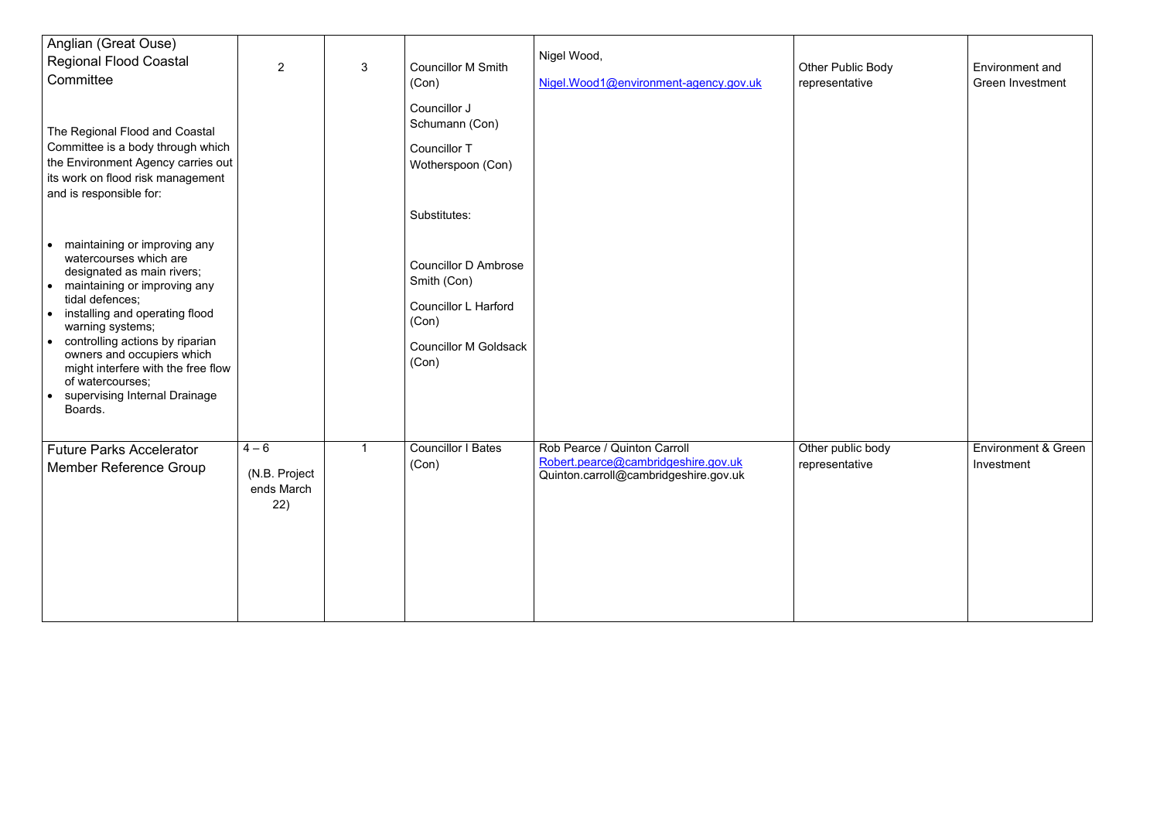| Anglian (Great Ouse)<br><b>Regional Flood Coastal</b><br>Committee<br>The Regional Flood and Coastal<br>Committee is a body through which<br>the Environment Agency carries out<br>its work on flood risk management<br>and is responsible for:                                                                                                                                                                                       | 2                                             | 3 | <b>Councillor M Smith</b><br>(Con)<br>Councillor J<br>Schumann (Con)<br><b>Councillor T</b><br>Wotherspoon (Con)<br>Substitutes: | Nigel Wood,<br>Nigel.Wood1@environment-agency.gov.uk                                                         | Other Public Body<br>representative | <b>Environment and</b><br><b>Green Investment</b> |
|---------------------------------------------------------------------------------------------------------------------------------------------------------------------------------------------------------------------------------------------------------------------------------------------------------------------------------------------------------------------------------------------------------------------------------------|-----------------------------------------------|---|----------------------------------------------------------------------------------------------------------------------------------|--------------------------------------------------------------------------------------------------------------|-------------------------------------|---------------------------------------------------|
| maintaining or improving any<br>$\bullet$<br>watercourses which are<br>designated as main rivers;<br>maintaining or improving any<br>$\bullet$<br>tidal defences;<br>installing and operating flood<br>$\bullet$<br>warning systems;<br>controlling actions by riparian<br>$\bullet$<br>owners and occupiers which<br>might interfere with the free flow<br>of watercourses;<br>supervising Internal Drainage<br>$\bullet$<br>Boards. |                                               |   | <b>Councillor D Ambrose</b><br>Smith (Con)<br><b>Councillor L Harford</b><br>(Con)<br><b>Councillor M Goldsack</b><br>(Con)      |                                                                                                              |                                     |                                                   |
| <b>Future Parks Accelerator</b><br><b>Member Reference Group</b>                                                                                                                                                                                                                                                                                                                                                                      | $4 - 6$<br>(N.B. Project<br>ends March<br>22) |   | <b>Councillor I Bates</b><br>(Con)                                                                                               | Rob Pearce / Quinton Carroll<br>Robert.pearce@cambridgeshire.gov.uk<br>Quinton.carroll@cambridgeshire.gov.uk | Other public body<br>representative | Environment & Green<br>Investment                 |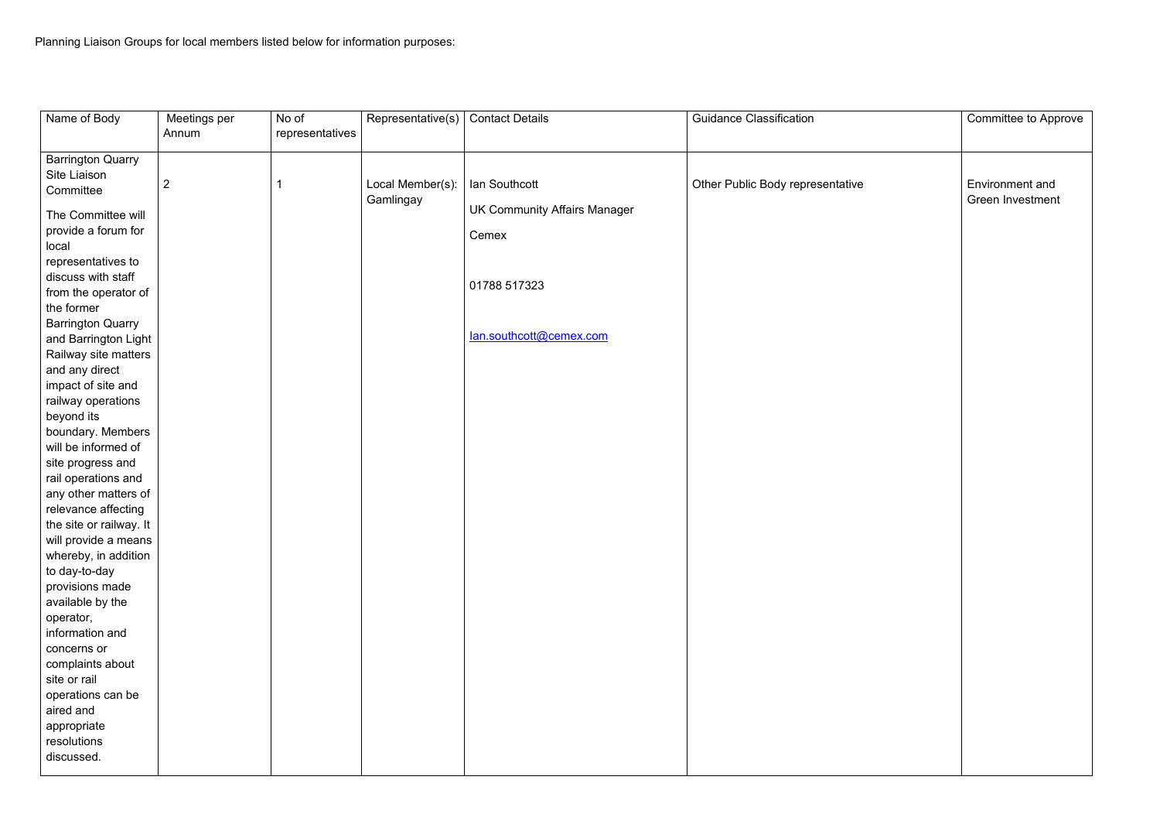| Name of Body                                     | Meetings per   | No of           | Representative(s)             | <b>Contact Details</b>              | <b>Guidance Classification</b>   | Committee to Approve                       |
|--------------------------------------------------|----------------|-----------------|-------------------------------|-------------------------------------|----------------------------------|--------------------------------------------|
|                                                  | Annum          | representatives |                               |                                     |                                  |                                            |
| <b>Barrington Quarry</b>                         |                |                 |                               |                                     |                                  |                                            |
| Site Liaison                                     |                |                 |                               |                                     |                                  |                                            |
| Committee                                        | $\overline{2}$ |                 | Local Member(s):<br>Gamlingay | lan Southcott                       | Other Public Body representative | <b>Environment</b> and<br>Green Investment |
| The Committee will                               |                |                 |                               | <b>UK Community Affairs Manager</b> |                                  |                                            |
| provide a forum for<br>local                     |                |                 |                               | Cemex                               |                                  |                                            |
| representatives to<br>discuss with staff         |                |                 |                               |                                     |                                  |                                            |
| from the operator of                             |                |                 |                               | 01788 517323                        |                                  |                                            |
| the former                                       |                |                 |                               |                                     |                                  |                                            |
| <b>Barrington Quarry</b><br>and Barrington Light |                |                 |                               | lan.southcott@cemex.com             |                                  |                                            |
| Railway site matters                             |                |                 |                               |                                     |                                  |                                            |
| and any direct                                   |                |                 |                               |                                     |                                  |                                            |
| $ $ impact of site and<br>railway operations     |                |                 |                               |                                     |                                  |                                            |
| beyond its                                       |                |                 |                               |                                     |                                  |                                            |
| boundary. Members                                |                |                 |                               |                                     |                                  |                                            |
| will be informed of                              |                |                 |                               |                                     |                                  |                                            |
| site progress and                                |                |                 |                               |                                     |                                  |                                            |
| rail operations and                              |                |                 |                               |                                     |                                  |                                            |
| any other matters of                             |                |                 |                               |                                     |                                  |                                            |
| relevance affecting                              |                |                 |                               |                                     |                                  |                                            |
| the site or railway. It                          |                |                 |                               |                                     |                                  |                                            |
| will provide a means                             |                |                 |                               |                                     |                                  |                                            |
| whereby, in addition                             |                |                 |                               |                                     |                                  |                                            |
| to day-to-day                                    |                |                 |                               |                                     |                                  |                                            |
| provisions made                                  |                |                 |                               |                                     |                                  |                                            |
| available by the                                 |                |                 |                               |                                     |                                  |                                            |
| operator,                                        |                |                 |                               |                                     |                                  |                                            |
| information and                                  |                |                 |                               |                                     |                                  |                                            |
| concerns or                                      |                |                 |                               |                                     |                                  |                                            |
| complaints about                                 |                |                 |                               |                                     |                                  |                                            |
| site or rail                                     |                |                 |                               |                                     |                                  |                                            |
| operations can be                                |                |                 |                               |                                     |                                  |                                            |
| aired and                                        |                |                 |                               |                                     |                                  |                                            |
| appropriate                                      |                |                 |                               |                                     |                                  |                                            |
| resolutions                                      |                |                 |                               |                                     |                                  |                                            |
| discussed.                                       |                |                 |                               |                                     |                                  |                                            |
|                                                  |                |                 |                               |                                     |                                  |                                            |

| Environment and<br>Green Investment |
|-------------------------------------|
|                                     |
|                                     |
|                                     |
|                                     |
|                                     |
|                                     |
|                                     |
|                                     |
|                                     |
|                                     |
|                                     |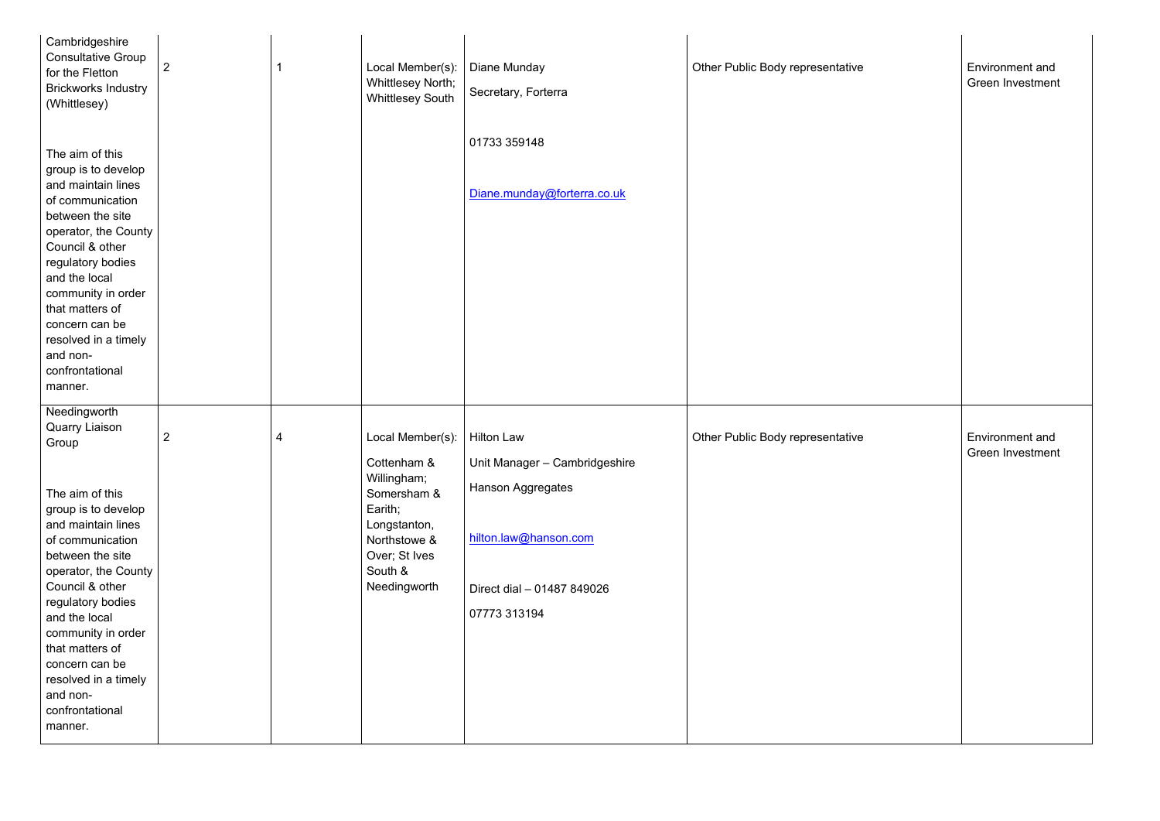| Cambridgeshire<br><b>Consultative Group</b><br>for the Fletton<br><b>Brickworks Industry</b><br>(Whittlesey)                                                                                                                                                                                                                                                         | $\overline{2}$      | Local Member(s):<br>Whittlesey North;<br><b>Whittlesey South</b>                                                                                     | Diane Munday<br>Secretary, Forterra                                                                                                     | Other Public Body representative | <b>Environment and</b><br>Green Investmen |
|----------------------------------------------------------------------------------------------------------------------------------------------------------------------------------------------------------------------------------------------------------------------------------------------------------------------------------------------------------------------|---------------------|------------------------------------------------------------------------------------------------------------------------------------------------------|-----------------------------------------------------------------------------------------------------------------------------------------|----------------------------------|-------------------------------------------|
| The aim of this<br>group is to develop<br>and maintain lines<br>of communication<br>between the site<br>operator, the County<br>Council & other<br>regulatory bodies<br>and the local<br>community in order<br>that matters of<br>concern can be<br>resolved in a timely<br>and non-<br>confrontational<br>manner.                                                   |                     |                                                                                                                                                      | 01733 359148<br>Diane.munday@forterra.co.uk                                                                                             |                                  |                                           |
| Needingworth<br><b>Quarry Liaison</b><br>Group<br>The aim of this<br>group is to develop<br>and maintain lines<br>of communication<br>between the site<br>operator, the County<br>Council & other<br>regulatory bodies<br>and the local<br>community in order<br>that matters of<br>concern can be<br>resolved in a timely<br>and non-<br>confrontational<br>manner. | $\overline{2}$<br>4 | Local Member(s):<br>Cottenham &<br>Willingham;<br>Somersham &<br>Earith;<br>Longstanton,<br>Northstowe &<br>Over; St Ives<br>South &<br>Needingworth | Hilton Law<br>Unit Manager - Cambridgeshire<br>Hanson Aggregates<br>hilton.law@hanson.com<br>Direct dial - 01487 849026<br>07773 313194 | Other Public Body representative | <b>Environment and</b><br>Green Investmen |

| sentative | <b>Environment and</b><br><b>Green Investment</b> |  |
|-----------|---------------------------------------------------|--|
| sentative | Environment and<br>Green Investment               |  |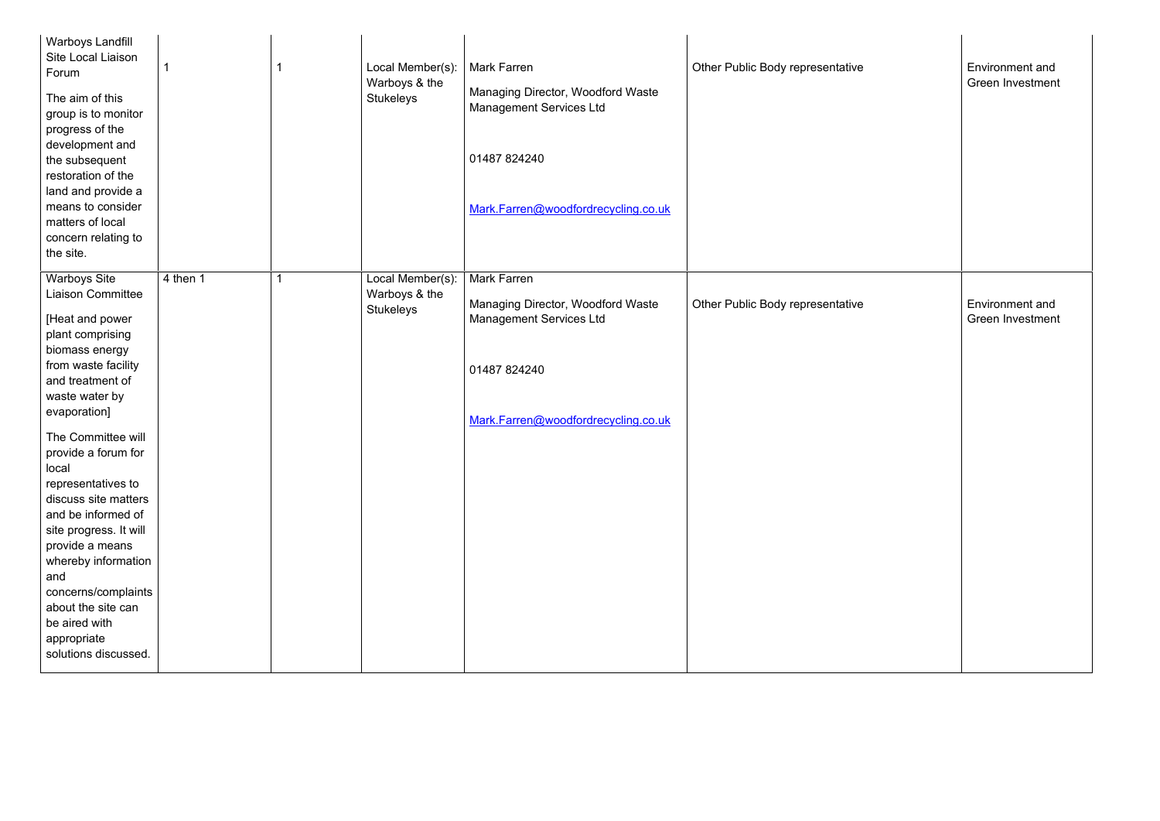| <b>Warboys Landfill</b><br><b>Site Local Liaison</b><br>Forum<br>The aim of this<br>group is to monitor<br>progress of the<br>development and<br>the subsequent<br>restoration of the<br>land and provide a<br>means to consider<br>matters of local<br>concern relating to<br>the site.                                                                                                                                                                                                        |          | Local Member(s):<br>Warboys & the<br><b>Stukeleys</b> | <b>Mark Farren</b><br>Managing Director, Woodford Waste<br><b>Management Services Ltd</b><br>01487 824240<br>Mark.Farren@woodfordrecycling.co.uk | Other Public Body representative |
|-------------------------------------------------------------------------------------------------------------------------------------------------------------------------------------------------------------------------------------------------------------------------------------------------------------------------------------------------------------------------------------------------------------------------------------------------------------------------------------------------|----------|-------------------------------------------------------|--------------------------------------------------------------------------------------------------------------------------------------------------|----------------------------------|
| <b>Warboys Site</b><br><b>Liaison Committee</b><br>[Heat and power<br>plant comprising<br>biomass energy<br>from waste facility<br>and treatment of<br>waste water by<br>evaporation]<br>The Committee will<br>provide a forum for<br>local<br>representatives to<br>discuss site matters<br>and be informed of<br>site progress. It will<br>provide a means<br>whereby information<br>and<br>concerns/complaints<br>about the site can<br>be aired with<br>appropriate<br>solutions discussed. | 4 then 1 | Local Member(s):<br>Warboys & the<br><b>Stukeleys</b> | <b>Mark Farren</b><br>Managing Director, Woodford Waste<br><b>Management Services Ltd</b><br>01487 824240<br>Mark.Farren@woodfordrecycling.co.uk | Other Public Body representative |

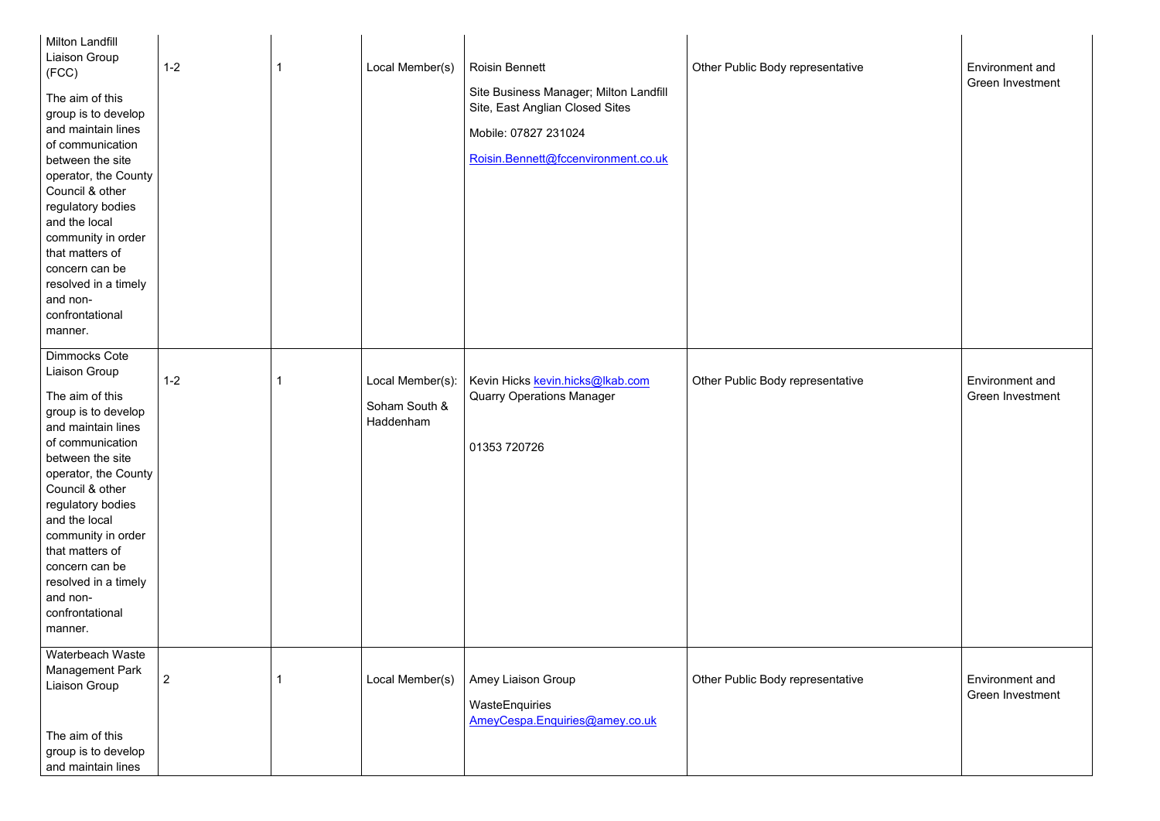| <b>Milton Landfill</b><br>Liaison Group<br>(FCC)<br>The aim of this<br>group is to develop<br>and maintain lines<br>of communication<br>between the site<br>operator, the County<br>Council & other<br>regulatory bodies<br>and the local<br>community in order<br>that matters of<br>concern can be<br>resolved in a timely<br>and non-<br>confrontational<br>manner. | $1 - 2$        | Local Member(s)                                | <b>Roisin Bennett</b><br>Site Business Manager; Milton Landfill<br>Site, East Anglian Closed Sites<br>Mobile: 07827 231024<br>Roisin.Bennett@fccenvironment.co.uk | Other Public Body representative |
|------------------------------------------------------------------------------------------------------------------------------------------------------------------------------------------------------------------------------------------------------------------------------------------------------------------------------------------------------------------------|----------------|------------------------------------------------|-------------------------------------------------------------------------------------------------------------------------------------------------------------------|----------------------------------|
| <b>Dimmocks Cote</b><br>Liaison Group<br>The aim of this<br>group is to develop<br>and maintain lines<br>of communication<br>between the site<br>operator, the County<br>Council & other<br>regulatory bodies<br>and the local<br>community in order<br>that matters of<br>concern can be<br>resolved in a timely<br>and non-<br>confrontational<br>manner.            | $1 - 2$        | Local Member(s):<br>Soham South &<br>Haddenham | Kevin Hicks kevin.hicks@lkab.com<br><b>Quarry Operations Manager</b><br>01353 720726                                                                              | Other Public Body representative |
| Waterbeach Waste<br>Management Park<br>Liaison Group<br>The aim of this<br>group is to develop<br>and maintain lines                                                                                                                                                                                                                                                   | $\overline{2}$ | Local Member(s)                                | Amey Liaison Group<br>WasteEnquiries<br>AmeyCespa.Enquiries@amey.co.uk                                                                                            | Other Public Body representative |

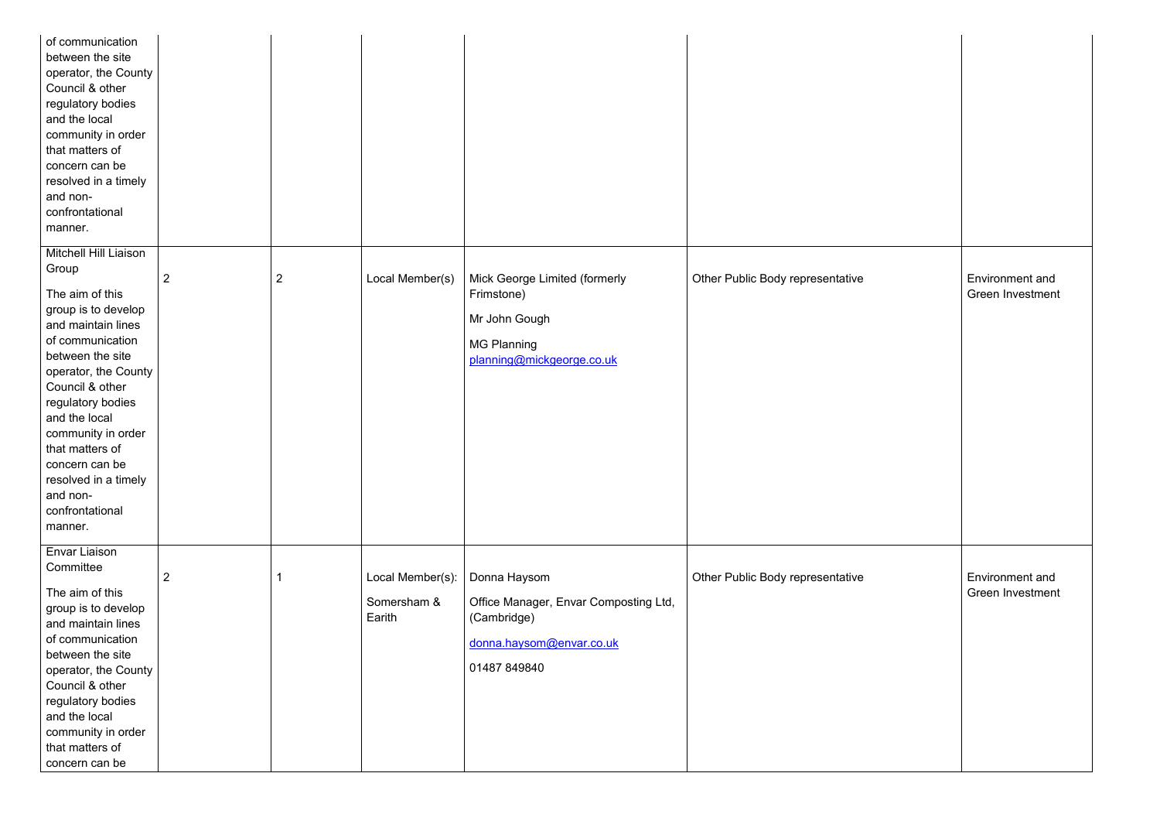| of communication<br>between the site<br>operator, the County<br>Council & other<br>regulatory bodies<br>and the local<br>community in order<br>that matters of<br>concern can be<br>resolved in a timely<br>and non-<br>confrontational<br>manner. |                |                |                       |                                                      |                                  |
|----------------------------------------------------------------------------------------------------------------------------------------------------------------------------------------------------------------------------------------------------|----------------|----------------|-----------------------|------------------------------------------------------|----------------------------------|
| Mitchell Hill Liaison<br>Group                                                                                                                                                                                                                     | $\overline{2}$ | $\overline{2}$ | Local Member(s)       | Mick George Limited (formerly                        | Other Public Body representative |
| The aim of this                                                                                                                                                                                                                                    |                |                |                       | Frimstone)                                           |                                  |
| group is to develop                                                                                                                                                                                                                                |                |                |                       |                                                      |                                  |
| and maintain lines                                                                                                                                                                                                                                 |                |                |                       | Mr John Gough                                        |                                  |
| of communication                                                                                                                                                                                                                                   |                |                |                       | <b>MG Planning</b>                                   |                                  |
| between the site<br>operator, the County                                                                                                                                                                                                           |                |                |                       | planning@mickgeorge.co.uk                            |                                  |
| Council & other                                                                                                                                                                                                                                    |                |                |                       |                                                      |                                  |
| regulatory bodies                                                                                                                                                                                                                                  |                |                |                       |                                                      |                                  |
| and the local                                                                                                                                                                                                                                      |                |                |                       |                                                      |                                  |
| community in order                                                                                                                                                                                                                                 |                |                |                       |                                                      |                                  |
| that matters of                                                                                                                                                                                                                                    |                |                |                       |                                                      |                                  |
| concern can be                                                                                                                                                                                                                                     |                |                |                       |                                                      |                                  |
| resolved in a timely                                                                                                                                                                                                                               |                |                |                       |                                                      |                                  |
| and non-<br>confrontational                                                                                                                                                                                                                        |                |                |                       |                                                      |                                  |
| manner.                                                                                                                                                                                                                                            |                |                |                       |                                                      |                                  |
|                                                                                                                                                                                                                                                    |                |                |                       |                                                      |                                  |
| Envar Liaison                                                                                                                                                                                                                                      |                |                |                       |                                                      |                                  |
| Committee                                                                                                                                                                                                                                          | $\overline{2}$ |                | Local Member(s):      | Donna Haysom                                         | Other Public Body representative |
| The aim of this                                                                                                                                                                                                                                    |                |                |                       |                                                      |                                  |
| group is to develop                                                                                                                                                                                                                                |                |                | Somersham &<br>Earith | Office Manager, Envar Composting Ltd,<br>(Cambridge) |                                  |
| and maintain lines                                                                                                                                                                                                                                 |                |                |                       |                                                      |                                  |
| of communication<br>between the site                                                                                                                                                                                                               |                |                |                       | donna.haysom@envar.co.uk                             |                                  |
| operator, the County                                                                                                                                                                                                                               |                |                |                       | 01487 849840                                         |                                  |
| Council & other                                                                                                                                                                                                                                    |                |                |                       |                                                      |                                  |
| regulatory bodies                                                                                                                                                                                                                                  |                |                |                       |                                                      |                                  |
| and the local                                                                                                                                                                                                                                      |                |                |                       |                                                      |                                  |
| community in order                                                                                                                                                                                                                                 |                |                |                       |                                                      |                                  |
| that matters of                                                                                                                                                                                                                                    |                |                |                       |                                                      |                                  |
| concern can be                                                                                                                                                                                                                                     |                |                |                       |                                                      |                                  |

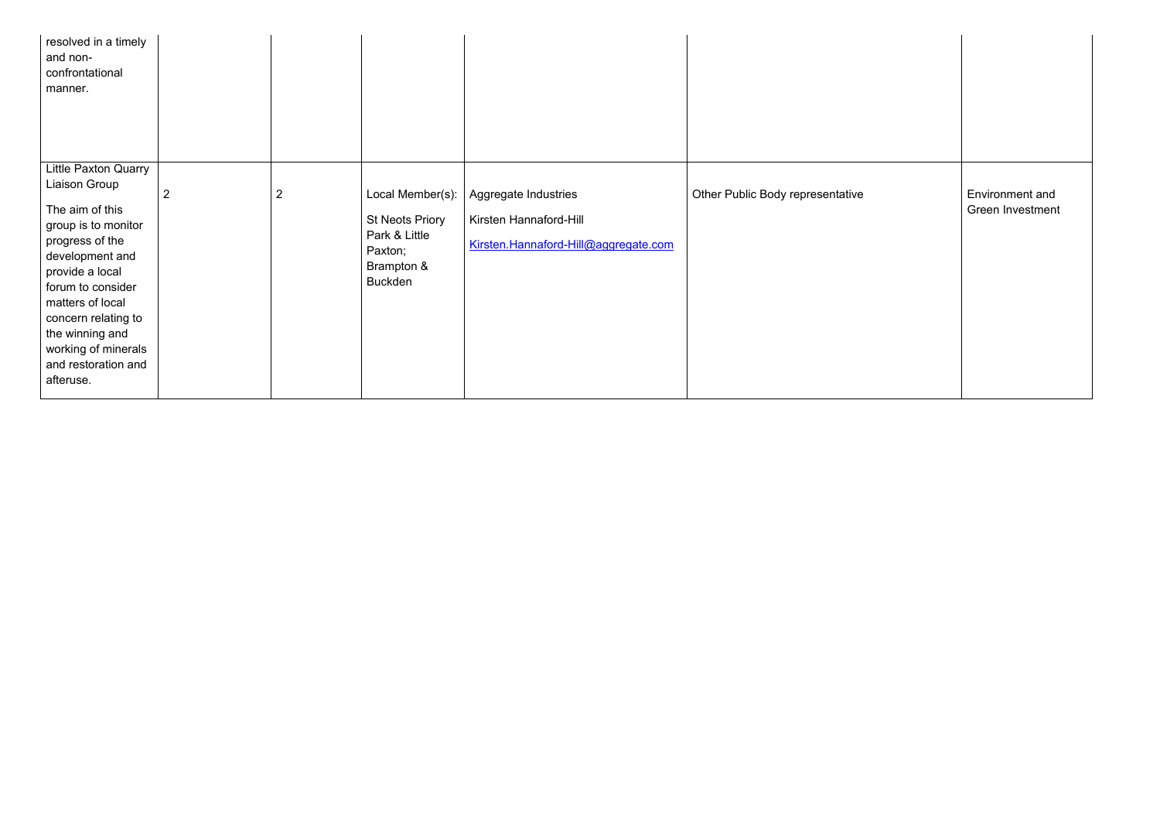| resolved in a timely<br>and non-<br>confrontational<br>manner.                                                                                                                                                                                                                         |                |                |                                                                                                        |                                                                                        |                                  |
|----------------------------------------------------------------------------------------------------------------------------------------------------------------------------------------------------------------------------------------------------------------------------------------|----------------|----------------|--------------------------------------------------------------------------------------------------------|----------------------------------------------------------------------------------------|----------------------------------|
| Little Paxton Quarry<br>Liaison Group<br>The aim of this<br>group is to monitor<br>progress of the<br>development and<br>provide a local<br>forum to consider<br>matters of local<br>concern relating to<br>the winning and<br>working of minerals<br>and restoration and<br>afteruse. | $\overline{2}$ | $\overline{2}$ | Local Member(s):<br><b>St Neots Priory</b><br>Park & Little<br>Paxton;<br>Brampton &<br><b>Buckden</b> | Aggregate Industries<br>Kirsten Hannaford-Hill<br>Kirsten.Hannaford-Hill@aggregate.com | Other Public Body representative |